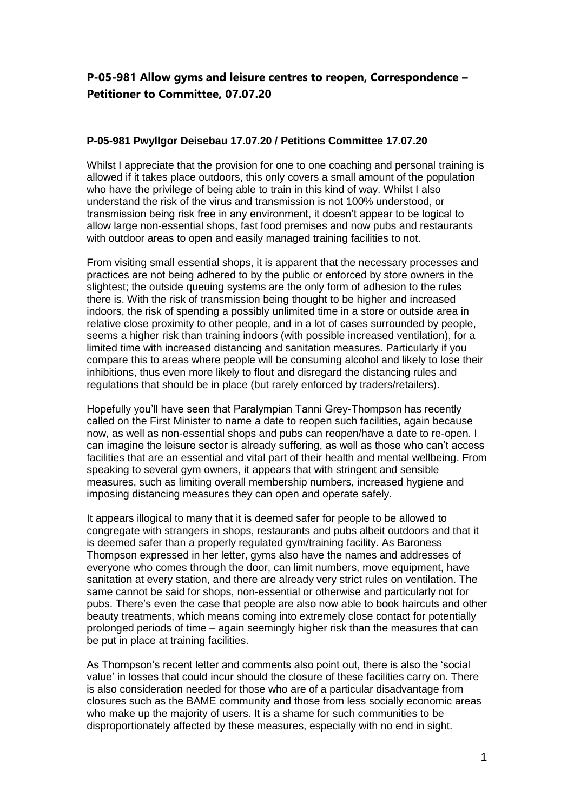## **P-05-981 Allow gyms and leisure centres to reopen, Correspondence – Petitioner to Committee, 07.07.20**

## **P-05-981 Pwyllgor Deisebau 17.07.20 / Petitions Committee 17.07.20**

Whilst I appreciate that the provision for one to one coaching and personal training is allowed if it takes place outdoors, this only covers a small amount of the population who have the privilege of being able to train in this kind of way. Whilst I also understand the risk of the virus and transmission is not 100% understood, or transmission being risk free in any environment, it doesn't appear to be logical to allow large non-essential shops, fast food premises and now pubs and restaurants with outdoor areas to open and easily managed training facilities to not.

From visiting small essential shops, it is apparent that the necessary processes and practices are not being adhered to by the public or enforced by store owners in the slightest; the outside queuing systems are the only form of adhesion to the rules there is. With the risk of transmission being thought to be higher and increased indoors, the risk of spending a possibly unlimited time in a store or outside area in relative close proximity to other people, and in a lot of cases surrounded by people, seems a higher risk than training indoors (with possible increased ventilation), for a limited time with increased distancing and sanitation measures. Particularly if you compare this to areas where people will be consuming alcohol and likely to lose their inhibitions, thus even more likely to flout and disregard the distancing rules and regulations that should be in place (but rarely enforced by traders/retailers).

Hopefully you'll have seen that Paralympian Tanni Grey-Thompson has recently called on the First Minister to name a date to reopen such facilities, again because now, as well as non-essential shops and pubs can reopen/have a date to re-open. I can imagine the leisure sector is already suffering, as well as those who can't access facilities that are an essential and vital part of their health and mental wellbeing. From speaking to several gym owners, it appears that with stringent and sensible measures, such as limiting overall membership numbers, increased hygiene and imposing distancing measures they can open and operate safely.

It appears illogical to many that it is deemed safer for people to be allowed to congregate with strangers in shops, restaurants and pubs albeit outdoors and that it is deemed safer than a properly regulated gym/training facility. As Baroness Thompson expressed in her letter, gyms also have the names and addresses of everyone who comes through the door, can limit numbers, move equipment, have sanitation at every station, and there are already very strict rules on ventilation. The same cannot be said for shops, non-essential or otherwise and particularly not for pubs. There's even the case that people are also now able to book haircuts and other beauty treatments, which means coming into extremely close contact for potentially prolonged periods of time – again seemingly higher risk than the measures that can be put in place at training facilities.

As Thompson's recent letter and comments also point out, there is also the 'social value' in losses that could incur should the closure of these facilities carry on. There is also consideration needed for those who are of a particular disadvantage from closures such as the BAME community and those from less socially economic areas who make up the majority of users. It is a shame for such communities to be disproportionately affected by these measures, especially with no end in sight.